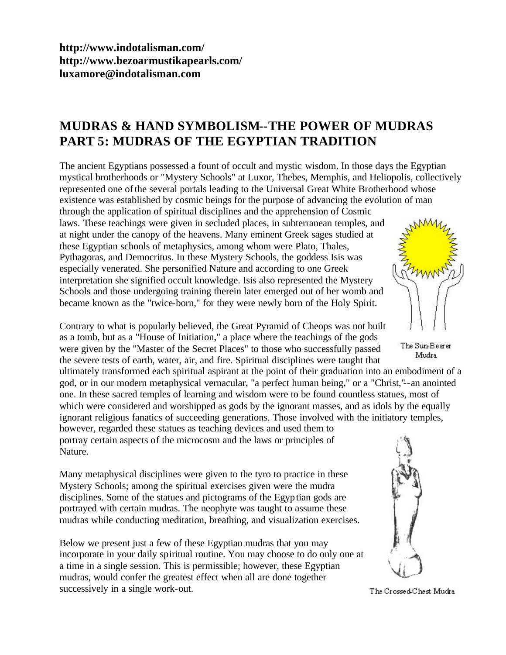**<http://www.indotalisman.com/> <http://www.bezoarmustikapearls.com/> luxamore@indotalisman.com**

## **MUDRAS & HAND SYMBOLISM--THE POWER OF MUDRAS PART 5: MUDRAS OF THE EGYPTIAN TRADITION**

The ancient Egyptians possessed a fount of occult and mystic wisdom. In those days the Egyptian mystical brotherhoods or "Mystery Schools" at Luxor, Thebes, Memphis, and Heliopolis, collectively represented one of the several portals leading to the Universal Great White Brotherhood whose existence was established by cosmic beings for the purpose of advancing the evolution of man through the application of spiritual disciplines and the apprehension of Cosmic laws. These teachings were given in secluded places, in subterranean temples, and at night under the canopy of the heavens. Many eminent Greek sages studied at these Egyptian schools of metaphysics, among whom were Plato, Thales, Pythagoras, and Democritus. In these Mystery Schools, the goddess Isis was especially venerated. She personified Nature and according to one Greek interpretation she signified occult knowledge. Isis also represented the Mystery Schools and those undergoing training therein later emerged out of her womb and became known as the "twice-born," for they were newly born of the Holy Spirit.

Contrary to what is popularly believed, the Great Pyramid of Cheops was not built as a tomb, but as a "House of Initiation," a place where the teachings of the gods were given by the "Master of the Secret Places" to those who successfully passed the severe tests of earth, water, air, and fire. Spiritual disciplines were taught that

ultimately transformed each spiritual aspirant at the point of their graduation into an embodiment of a god, or in our modern metaphysical vernacular, "a perfect human being," or a "Christ,"--an anointed one. In these sacred temples of learning and wisdom were to be found countless statues, most of which were considered and worshipped as gods by the ignorant masses, and as idols by the equally ignorant religious fanatics of succeeding generations. Those involved with the initiatory temples,

however, regarded these statues as teaching devices and used them to portray certain aspects of the microcosm and the laws or principles of Nature.

Many metaphysical disciplines were given to the tyro to practice in these Mystery Schools; among the spiritual exercises given were the mudra disciplines. Some of the statues and pictograms of the Egyptian gods are portrayed with certain mudras. The neophyte was taught to assume these mudras while conducting meditation, breathing, and visualization exercises.

Below we present just a few of these Egyptian mudras that you may incorporate in your daily spiritual routine. You may choose to do only one at a time in a single session. This is permissible; however, these Egyptian mudras, would confer the greatest effect when all are done together successively in a single work-out.



The Sun-Bearer Mudra



The Crossed-Chest Mudra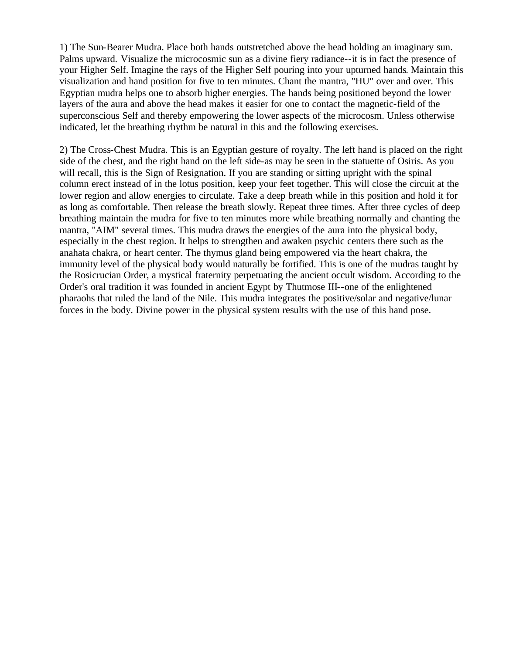1) The Sun-Bearer Mudra. Place both hands outstretched above the head holding an imaginary sun. Palms upward. Visualize the microcosmic sun as a divine fiery radiance--it is in fact the presence of your Higher Self. Imagine the rays of the Higher Self pouring into your upturned hands. Maintain this visualization and hand position for five to ten minutes. Chant the mantra, "HU" over and over. This Egyptian mudra helps one to absorb higher energies. The hands being positioned beyond the lower layers of the aura and above the head makes it easier for one to contact the magnetic-field of the superconscious Self and thereby empowering the lower aspects of the microcosm. Unless otherwise indicated, let the breathing rhythm be natural in this and the following exercises.

2) The Cross-Chest Mudra. This is an Egyptian gesture of royalty. The left hand is placed on the right side of the chest, and the right hand on the left side-as may be seen in the statuette of Osiris. As you will recall, this is the Sign of Resignation. If you are standing or sitting upright with the spinal column erect instead of in the lotus position, keep your feet together. This will close the circuit at the lower region and allow energies to circulate. Take a deep breath while in this position and hold it for as long as comfortable. Then release the breath slowly. Repeat three times. After three cycles of deep breathing maintain the mudra for five to ten minutes more while breathing normally and chanting the mantra, "AIM" several times. This mudra draws the energies of the aura into the physical body, especially in the chest region. It helps to strengthen and awaken psychic centers there such as the anahata chakra, or heart center. The thymus gland being empowered via the heart chakra, the immunity level of the physical body would naturally be fortified. This is one of the mudras taught by the Rosicrucian Order, a mystical fraternity perpetuating the ancient occult wisdom. According to the Order's oral tradition it was founded in ancient Egypt by Thutmose III--one of the enlightened pharaohs that ruled the land of the Nile. This mudra integrates the positive/solar and negative/lunar forces in the body. Divine power in the physical system results with the use of this hand pose.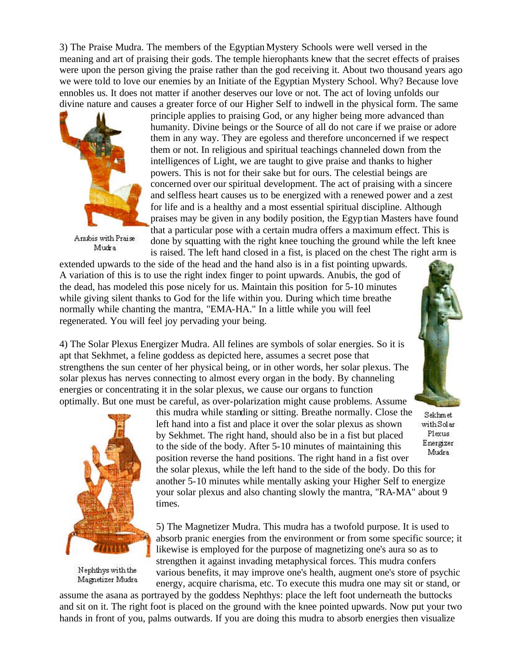3) The Praise Mudra. The members of the Egyptian Mystery Schools were well versed in the meaning and art of praising their gods. The temple hierophants knew that the secret effects of praises were upon the person giving the praise rather than the god receiving it. About two thousand years ago we were told to love our enemies by an Initiate of the Egyptian Mystery School. Why? Because love ennobles us. It does not matter if another deserves our love or not. The act of loving unfolds our divine nature and causes a greater force of our Higher Self to indwell in the physical form. The same



Anubis with Praise Mudra

principle applies to praising God, or any higher being more advanced than humanity. Divine beings or the Source of all do not care if we praise or adore them in any way. They are egoless and therefore unconcerned if we respect them or not. In religious and spiritual teachings channeled down from the intelligences of Light, we are taught to give praise and thanks to higher powers. This is not for their sake but for ours. The celestial beings are concerned over our spiritual development. The act of praising with a sincere and selfless heart causes us to be energized with a renewed power and a zest for life and is a healthy and a most essential spiritual discipline. Although praises may be given in any bodily position, the Egyptian Masters have found that a particular pose with a certain mudra offers a maximum effect. This is done by squatting with the right knee touching the ground while the left knee is raised. The left hand closed in a fist, is placed on the chest The right arm is

extended upwards to the side of the head and the hand also is in a fist pointing upwards. A variation of this is to use the right index finger to point upwards. Anubis, the god of the dead, has modeled this pose nicely for us. Maintain this position for 5-10 minutes while giving silent thanks to God for the life within you. During which time breathe normally while chanting the mantra, "EMA-HA." In a little while you will feel regenerated. You will feel joy pervading your being.

4) The Solar Plexus Energizer Mudra. All felines are symbols of solar energies. So it is apt that Sekhmet, a feline goddess as depicted here, assumes a secret pose that strengthens the sun center of her physical being, or in other words, her solar plexus. The solar plexus has nerves connecting to almost every organ in the body. By channeling energies or concentrating it in the solar plexus, we cause our organs to function optimally. But one must be careful, as over-polarization might cause problems. Assume



Nephthys with the Magnetizer Mudra

this mudra while standing or sitting. Breathe normally. Close the left hand into a fist and place it over the solar plexus as shown by Sekhmet. The right hand, should also be in a fist but placed to the side of the body. After 5-10 minutes of maintaining this position reverse the hand positions. The right hand in a fist over the solar plexus, while the left hand to the side of the body. Do this for another 5-10 minutes while mentally asking your Higher Self to energize your solar plexus and also chanting slowly the mantra, "RA-MA" about 9 times.

5) The Magnetizer Mudra. This mudra has a twofold purpose. It is used to absorb pranic energies from the environment or from some specific source; it likewise is employed for the purpose of magnetizing one's aura so as to strengthen it against invading metaphysical forces. This mudra confers various benefits, it may improve one's health, augment one's store of psychic energy, acquire charisma, etc. To execute this mudra one may sit or stand, or

assume the asana as portrayed by the goddess Nephthys: place the left foot underneath the buttocks and sit on it. The right foot is placed on the ground with the knee pointed upwards. Now put your two hands in front of you, palms outwards. If you are doing this mudra to absorb energies then visualize



Sekhmet withSolar Plexus Energizer Mudra